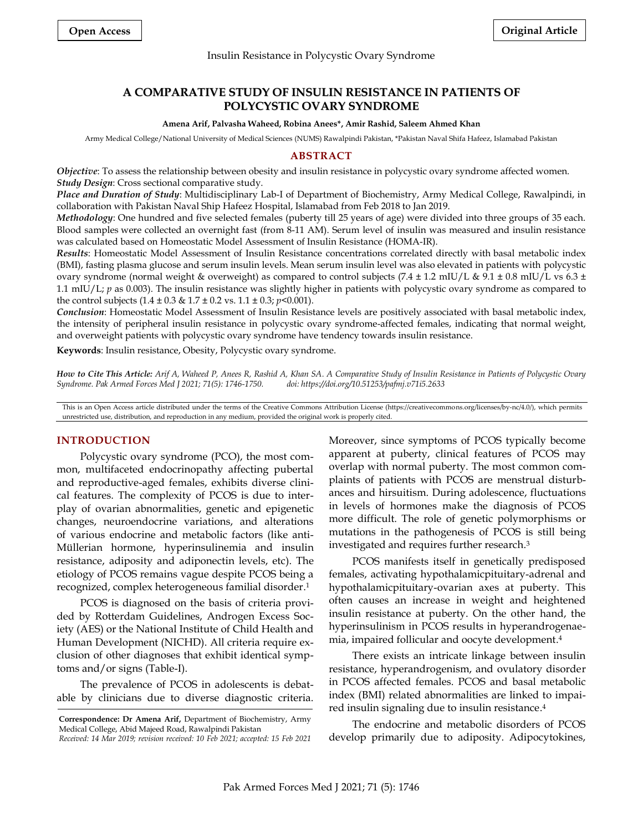#### Insulin Resistance in Polycystic Ovary Syndrome

# **A COMPARATIVE STUDY OF INSULIN RESISTANCE IN PATIENTS OF POLYCYSTIC OVARY SYNDROME**

#### **Amena Arif, Palvasha Waheed, Robina Anees\*, Amir Rashid, Saleem Ahmed Khan**

Army Medical College/National University of Medical Sciences (NUMS) Rawalpindi Pakistan, \*Pakistan Naval Shifa Hafeez, Islamabad Pakistan

### **ABSTRACT**

*Objective*: To assess the relationship between obesity and insulin resistance in polycystic ovary syndrome affected women. *Study Design*: Cross sectional comparative study.

*Place and Duration of Study*: Multidisciplinary Lab-I of Department of Biochemistry, Army Medical College, Rawalpindi, in collaboration with Pakistan Naval Ship Hafeez Hospital, Islamabad from Feb 2018 to Jan 2019.

*Methodology*: One hundred and five selected females (puberty till 25 years of age) were divided into three groups of 35 each. [Blood samples](https://www.sciencedirect.com/topics/medicine-and-dentistry/blood-sampling) were collected an overnight fast (from 8-11 AM). Serum level of insulin was measured and insulin resistance was calculated based on Homeostatic Model Assessment of Insulin Resistance (HOMA-IR).

*Results*: Homeostatic Model Assessment of Insulin Resistance concentrations correlated directly with basal metabolic index (BMI), fasting plasma glucose and serum insulin levels. Mean serum insulin level was also elevated in patients with polycystic ovary syndrome (normal weight & overweight) as compared to control subjects (7.4 ± 1.2 mIU/L & 9.1 ± 0.8 mIU/L vs 6.3 ± 1.1 mIU/L; *p* as 0.003). The insulin resistance was slightly higher in patients with polycystic ovary syndrome as compared to the control subjects (1.4 ± 0.3 & 1.7 ± 0.2 vs. 1.1 ± 0.3; *p*<0.001).

*Conclusion*: Homeostatic Model Assessment of Insulin Resistance levels are positively associated with basal metabolic index, the intensity of peripheral insulin resistance in polycystic ovary syndrome-affected females, indicating that normal weight, and overweight patients with polycystic ovary syndrome have tendency towards insulin resistance.

**Keywords**: Insulin resistance, Obesity, Polycystic ovary syndrome.

*How to Cite This Article: Arif A, Waheed P, Anees R, Rashid A, Khan SA. A Comparative Study of Insulin Resistance in Patients of Polycystic Ovary Syndrome. Pak Armed Forces Med J 2021; 71(5): 1746-1750. doi: https://doi.org/10.51253/pafmj.v71i5.2633*

This is an Open Access article distributed under the terms of the Creative Commons Attribution License (https://creativecommons.org/licenses/by-nc/4.0/), which permits unrestricted use, distribution, and reproduction in any medium, provided the original work is properly cited.

## **INTRODUCTION**

Polycystic ovary syndrome (PCO), the most common, multifaceted endocrinopathy affecting pubertal and reproductive-aged females, exhibits diverse clinical features. The complexity of PCOS is due to interplay of ovarian abnormalities, genetic and epigenetic changes, neuroendocrine variations, and alterations of various endocrine and metabolic factors (like anti-Müllerian hormone, hyperinsulinemia and insulin resistance, adiposity and adiponectin levels, etc). The etiology of PCOS remains vague despite PCOS being a recognized, complex heterogeneous familial disorder. 1

PCOS is diagnosed on the basis of criteria provided by Rotterdam Guidelines, Androgen Excess Society (AES) or the National Institute of Child Health and Human Development (NICHD). All criteria require exclusion of other diagnoses that exhibit identical symptoms and/or signs (Table-I).

The prevalence of PCOS in adolescents is debatable by clinicians due to diverse diagnostic criteria.

Moreover, since symptoms of PCOS typically become apparent at puberty, clinical features of PCOS may overlap with normal puberty. The most common complaints of patients with PCOS are menstrual disturbances and hirsuitism. During adolescence, fluctuations in levels of hormones make the diagnosis of PCOS more difficult. The role of genetic polymorphisms or mutations in the pathogenesis of PCOS is still being investigated and requires further research. 3

PCOS manifests itself in genetically predisposed females, activating hypothalamicpituitary-adrenal and hypothalamicpituitary-ovarian axes at puberty. This often causes an increase in weight and heightened insulin resistance at puberty. On the other hand, the hyperinsulinism in PCOS results in hyperandrogenaemia, impaired follicular and oocyte development. 4

There exists an intricate linkage between insulin resistance, hyperandrogenism, and ovulatory disorder in PCOS affected females. PCOS and basal metabolic index (BMI) related abnormalities are linked to impaired insulin signaling due to insulin resistance. 4

The endocrine and metabolic disorders of PCOS develop primarily due to adiposity. Adipocytokines,

**Correspondence: Dr Amena Arif,** Department of Biochemistry, Army Medical College, Abid Majeed Road, Rawalpindi Pakistan

*Received: 14 Mar 2019; revision received: 10 Feb 2021; accepted: 15 Feb 2021*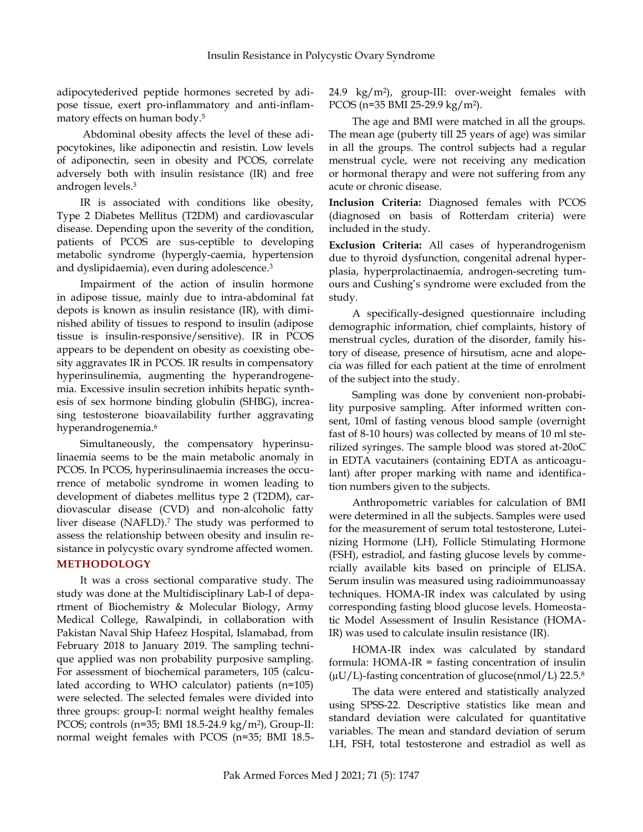adipocytederived peptide hormones secreted by adipose tissue, exert pro-inflammatory and anti-inflammatory effects on human body. 5

Abdominal obesity affects the level of these adipocytokines, like adiponectin and resistin. Low levels of adiponectin, seen in obesity and PCOS, correlate adversely both with insulin resistance (IR) and free androgen levels. 3

IR is associated with conditions like obesity, Type 2 Diabetes Mellitus (T2DM) and cardiovascular disease. Depending upon the severity of the condition, patients of PCOS are sus-ceptible to developing metabolic syndrome (hypergly-caemia, hypertension and dyslipidaemia), even during adolescence. 3

Impairment of the action of insulin hormone in adipose tissue, mainly due to intra-abdominal fat depots is known as insulin resistance (IR), with diminished ability of tissues to respond to insulin (adipose tissue is insulin-responsive/sensitive). IR in PCOS appears to be dependent on obesity as coexisting obesity aggravates IR in PCOS. IR results in compensatory hyperinsulinemia, augmenting the hyperandrogenemia. Excessive insulin secretion inhibits hepatic synthesis of sex hormone binding globulin (SHBG), increasing testosterone bioavailability further aggravating hyperandrogenemia. 6

Simultaneously, the compensatory hyperinsulinaemia seems to be the main metabolic anomaly in PCOS. In PCOS, hyperinsulinaemia increases the occurrence of metabolic syndrome in women leading to development of diabetes mellitus type 2 (T2DM), cardiovascular disease (CVD) and non-alcoholic fatty liver disease (NAFLD). <sup>7</sup> The study was performed to assess the relationship between obesity and insulin resistance in polycystic ovary syndrome affected women.

# **METHODOLOGY**

It was a cross sectional comparative study. The study was done at the Multidisciplinary Lab-I of department of Biochemistry & Molecular Biology, Army Medical College, Rawalpindi, in collaboration with Pakistan Naval Ship Hafeez Hospital, Islamabad, from February 2018 to January 2019. The sampling technique applied was non probability purposive sampling. For assessment of biochemical parameters, 105 (calculated according to WHO calculator) patients (n=105) were selected. The selected females were divided into three groups: group-I: normal weight healthy females PCOS; controls (n=35; BMI 18.5-24.9 kg/m<sup>2</sup> ), Group-II: normal weight females with PCOS (n=35; BMI 18.524.9 kg/m<sup>2</sup> ), group-III: over-weight females with PCOS (n=35 BMI 25-29.9 kg/m<sup>2</sup> ).

The age and BMI were matched in all the groups. The mean age (puberty till 25 years of age) was similar in all the groups. The control subjects had a regular menstrual cycle, were not receiving any medication or hormonal therapy and were not suffering from any acute or chronic disease.

**Inclusion Criteria:** Diagnosed females with PCOS (diagnosed on basis of Rotterdam criteria) were included in the study.

**Exclusion Criteria:** All cases of hyperandrogenism due to thyroid dysfunction, congenital adrenal hyperplasia, hyperprolactinaemia, androgen-secreting tumours and Cushing's syndrome were excluded from the study.

A specifically-designed questionnaire including demographic information, chief complaints, history of menstrual cycles, duration of the disorder, family history of disease, presence of hirsutism, acne and alopecia was filled for each patient at the time of enrolment of the subject into the study.

Sampling was done by convenient non-probability purposive sampling. After informed written consent, 10ml of fasting venous blood sample (overnight fast of 8-10 hours) was collected by means of 10 ml sterilized syringes. The sample blood was stored at-20oC in EDTA vacutainers (containing EDTA as anticoagulant) after proper marking with name and identification numbers given to the subjects.

Anthropometric variables for calculation of BMI were determined in all the subjects. Samples were used for the measurement of serum total testosterone, Luteinizing Hormone (LH), Follicle Stimulating Hormone (FSH), estradiol, and fasting glucose levels by commercially available kits based on principle of ELISA. Serum insulin was measured using radioimmunoassay techniques. HOMA-IR index was calculated by using corresponding fasting blood glucose levels. Homeostatic Model Assessment of Insulin Resistance (HOMA-IR) was used to calculate insulin resistance (IR).

HOMA-IR index was calculated by standard formula: HOMA-IR = fasting concentration of insulin  $(\mu U/L)$ -fasting concentration of glucose(nmol/L) 22.5.<sup>8</sup>

The data were entered and statistically analyzed using SPSS-22. Descriptive statistics like mean and standard deviation were calculated for quantitative variables. The mean and standard deviation of serum LH, FSH, total testosterone and estradiol as well as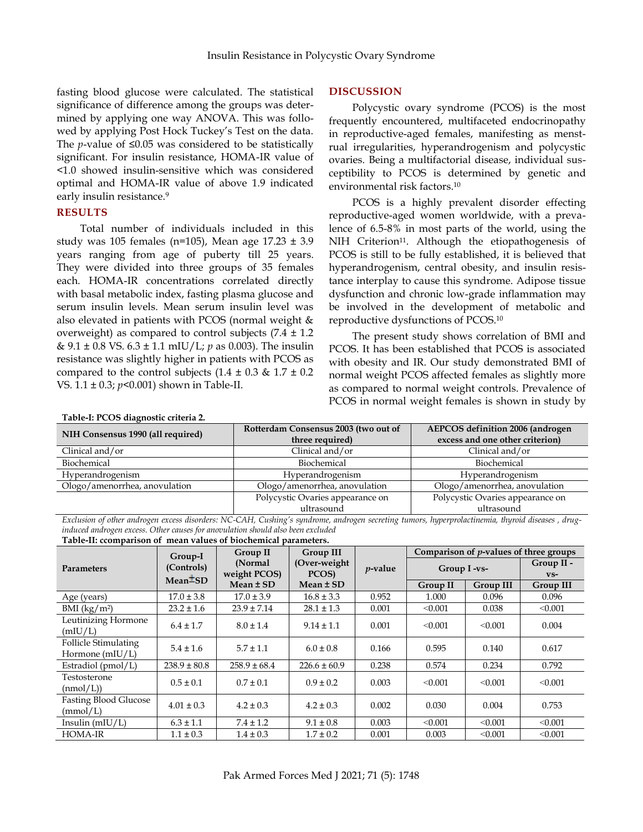fasting blood glucose were calculated. The statistical significance of difference among the groups was determined by applying one way ANOVA. This was followed by applying Post Hock Tuckey's Test on the data. The *p*-value of ≤0.05 was considered to be statistically significant. For insulin resistance, HOMA-IR value of <1.0 showed insulin-sensitive which was considered optimal and HOMA-IR value of above 1.9 indicated early insulin resistance.<sup>9</sup>

## **RESULTS**

Total number of individuals included in this study was 105 females (n=105), Mean age  $17.23 \pm 3.9$ years ranging from age of puberty till 25 years. They were divided into three groups of 35 females each. [HOMA-](https://www.sciencedirect.com/topics/medicine-and-dentistry/homeostatic-model-assessment)IR concentrations correlated directly with basal metabolic index, fasting plasma glucose and serum insulin levels. Mean serum insulin level was also elevated in patients with PCOS (normal weight & overweight) as compared to control subjects  $(7.4 \pm 1.2)$ & 9.1 ± 0.8 VS. 6.3 ± 1.1 mIU/L; *p* as 0.003). The insulin resistance was slightly higher in patients with PCOS as compared to the control subjects  $(1.4 \pm 0.3 \& 1.7 \pm 0.2)$ VS. 1.1 ± 0.3; *p*<0.001) shown in Table-II.

## **DISCUSSION**

Polycystic ovary syndrome (PCOS) is the most frequently encountered, multifaceted endocrinopathy in reproductive-aged females, manifesting as menstrual irregularities, hyperandrogenism and polycystic ovaries. Being a multifactorial disease, individual susceptibility to PCOS is determined by genetic and environmental risk factors. 10

PCOS is a highly prevalent disorder effecting reproductive-aged women worldwide, with a prevalence of 6.5-8% in most parts of the world, using the NIH Criterion<sup>11</sup>. Although the etiopathogenesis of PCOS is still to be fully established, it is believed that hyperandrogenism, central obesity, and insulin resistance interplay to cause this syndrome. Adipose tissue dysfunction and chronic low-grade inflammation may be involved in the development of metabolic and reproductive dysfunctions of PCOS. 10

The present study shows correlation of BMI and PCOS. It has been established that PCOS is associated with obesity and IR. Our study demonstrated BMI of normal weight PCOS affected females as slightly more as compared to normal weight controls. Prevalence of PCOS in normal weight females is shown in study by

| Table-I: PCOS diagnostic criteria 2. |                                      |                                  |  |  |
|--------------------------------------|--------------------------------------|----------------------------------|--|--|
| NIH Consensus 1990 (all required)    | Rotterdam Consensus 2003 (two out of | AEPCOS definition 2006 (androgen |  |  |
|                                      | three required)                      | excess and one other criterion)  |  |  |
| Clinical and/or                      | Clinical and/or                      | Clinical and/or                  |  |  |
| Biochemical                          | Biochemical                          | Biochemical                      |  |  |
| Hyperandrogenism                     | Hyperandrogenism                     | Hyperandrogenism                 |  |  |
| Ologo/amenorrhea, anovulation        | Ologo/amenorrhea, anovulation        | Ologo/amenorrhea, anovulation    |  |  |
|                                      | Polycystic Ovaries appearance on     | Polycystic Ovaries appearance on |  |  |
|                                      | ultrasound                           | ultrasound                       |  |  |

*Exclusion of other androgen excess disorders: NC-CAH, Cushing's syndrome, androgen secreting tumors, hyperprolactinemia, thyroid diseases , druginduced androgen excess. Other causes for anovulation should also been excluded*

| <b>Parameters</b>                                | Group-I<br>(Controls)<br>Mean <sup>±</sup> SD | <b>Group II</b><br>(Normal<br>weight PCOS)<br>$Mean \pm SD$ | Group III<br>(Over-weight)<br>PCOS)<br>$Mean \pm SD$ | $p$ -value | Comparison of <i>p</i> -values of three groups |                  |                      |
|--------------------------------------------------|-----------------------------------------------|-------------------------------------------------------------|------------------------------------------------------|------------|------------------------------------------------|------------------|----------------------|
|                                                  |                                               |                                                             |                                                      |            | Group I-vs-                                    |                  | Group II -<br>$VS -$ |
|                                                  |                                               |                                                             |                                                      |            | Group II                                       | <b>Group III</b> | <b>Group III</b>     |
| Age (years)                                      | $17.0 \pm 3.8$                                | $17.0 \pm 3.9$                                              | $16.8 \pm 3.3$                                       | 0.952      | 1.000                                          | 0.096            | 0.096                |
| BMI (kg/m <sup>2</sup> )                         | $23.2 \pm 1.6$                                | $23.9 \pm 7.14$                                             | $28.1 \pm 1.3$                                       | 0.001      | < 0.001                                        | 0.038            | < 0.001              |
| Leutinizing Hormone<br>(mIU/L)                   | $6.4 \pm 1.7$                                 | $8.0 \pm 1.4$                                               | $9.14 \pm 1.1$                                       | 0.001      | < 0.001                                        | < 0.001          | 0.004                |
| <b>Follicle Stimulating</b><br>Hormone $(mIU/L)$ | $5.4 \pm 1.6$                                 | $5.7 \pm 1.1$                                               | $6.0 \pm 0.8$                                        | 0.166      | 0.595                                          | 0.140            | 0.617                |
| Estradiol $(pmol/L)$                             | $238.9 \pm 80.8$                              | $258.9 \pm 68.4$                                            | $226.6 \pm 60.9$                                     | 0.238      | 0.574                                          | 0.234            | 0.792                |
| Testosterone<br>(mmol/L))                        | $0.5 \pm 0.1$                                 | $0.7 \pm 0.1$                                               | $0.9 \pm 0.2$                                        | 0.003      | < 0.001                                        | < 0.001          | < 0.001              |
| <b>Fasting Blood Glucose</b><br>(mmol/L)         | $4.01 \pm 0.3$                                | $4.2 \pm 0.3$                                               | $4.2 \pm 0.3$                                        | 0.002      | 0.030                                          | 0.004            | 0.753                |
| Insulin $(mIU/L)$                                | $6.3 \pm 1.1$                                 | $7.4 \pm 1.2$                                               | $9.1 \pm 0.8$                                        | 0.003      | < 0.001                                        | < 0.001          | < 0.001              |
| <b>HOMA-IR</b>                                   | $1.1 \pm 0.3$                                 | $1.4 \pm 0.3$                                               | $1.7 \pm 0.2$                                        | 0.001      | 0.003                                          | < 0.001          | < 0.001              |

**Table-II: ccomparison of mean values of biochemical parameters.**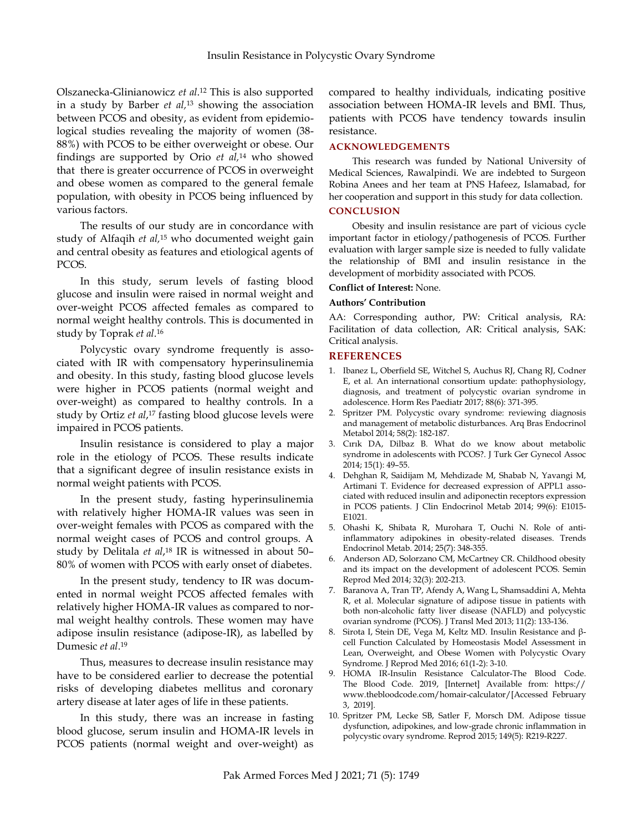Olszanecka-Glinianowicz *et al*. <sup>12</sup> This is also supported in a study by Barber *et al,* <sup>13</sup> showing the association between PCOS and obesity, as evident from epidemiological studies revealing the majority of women (38- 88%) with PCOS to be either overweight or obese. Our findings are supported by Orio *et al,* <sup>14</sup> who showed that there is greater occurrence of PCOS in overweight and obese women as compared to the general female population, with obesity in PCOS being influenced by various factors.

The results of our study are in concordance with study of Alfaqih *et al,* <sup>15</sup> who documented weight gain and central obesity as features and etiological agents of PCOS.

In this study, serum levels of fasting blood glucose and insulin were raised in normal weight and over-weight PCOS affected females as compared to normal weight healthy controls. This is documented in study by Toprak *et al*. 16

Polycystic ovary syndrome frequently is associated with IR with compensatory hyperinsulinemia and obesity. In this study, fasting blood glucose levels were higher in PCOS patients (normal weight and over-weight) as compared to healthy controls. In a study by Ortiz *et al*, <sup>17</sup> fasting blood glucose levels were impaired in PCOS patients.

Insulin resistance is considered to play a major role in the etiology of PCOS. These results indicate that a significant degree of insulin resistance exists in normal weight patients with PCOS.

In the present study, fasting hyperinsulinemia with relatively higher HOMA-IR values was seen in over-weight females with PCOS as compared with the normal weight cases of PCOS and control groups. A study by Delitala *et al*, <sup>18</sup> IR is witnessed in about 50– 80% of women with PCOS with early onset of diabetes.

In the present study, tendency to IR was documented in normal weight PCOS affected females with relatively higher HOMA-IR values as compared to normal weight healthy controls. These women may have adipose insulin resistance (adipose-IR), as labelled by Dumesic *et al*. 19

Thus, measures to decrease insulin resistance may have to be considered earlier to decrease the potential risks of developing diabetes mellitus and coronary artery disease at later ages of life in these patients.

In this study, there was an increase in fasting blood glucose, serum insulin and HOMA-IR levels in PCOS patients (normal weight and over-weight) as

compared to healthy individuals, indicating positive association between HOMA-IR levels and BMI. Thus, patients with PCOS have tendency towards insulin resistance.

### **ACKNOWLEDGEMENTS**

This research was funded by National University of Medical Sciences, Rawalpindi. We are indebted to Surgeon Robina Anees and her team at PNS Hafeez, Islamabad, for her cooperation and support in this study for data collection.

# **CONCLUSION**

Obesity and insulin resistance are part of vicious cycle important factor in etiology/pathogenesis of PCOS. Further evaluation with larger sample size is needed to fully validate the relationship of BMI and insulin resistance in the development of morbidity associated with PCOS.

#### **Conflict of Interest:** None.

#### **Authors' Contribution**

AA: Corresponding author, PW: Critical analysis, RA: Facilitation of data collection, AR: Critical analysis, SAK: Critical analysis.

### **REFERENCES**

- 1. Ibanez L, Oberfield SE, Witchel S, Auchus RJ, Chang RJ, Codner E, et al. An international consortium update: pathophysiology, diagnosis, and treatment of polycystic ovarian syndrome in adolescence. Horm Res Paediatr 2017; 88(6): 371-395.
- 2. Spritzer PM. Polycystic ovary syndrome: reviewing diagnosis and management of metabolic disturbances. Arq Bras Endocrinol Metabol 2014; 58(2): 182-187.
- 3. Cırık DA, Dilbaz B. What do we know about metabolic syndrome in adolescents with PCOS?. J Turk Ger Gynecol Assoc 2014; 15(1): 49–55.
- 4. Dehghan R, Saidijam M, Mehdizade M, Shabab N, Yavangi M, Artimani T. Evidence for decreased expression of APPL1 associated with reduced insulin and adiponectin receptors expression in PCOS patients. J Clin Endocrinol Metab 2014; 99(6): E1015- E1021.
- 5. Ohashi K, Shibata R, Murohara T, Ouchi N. Role of antiinflammatory adipokines in obesity-related diseases. Trends Endocrinol Metab. 2014; 25(7): 348-355.
- 6. Anderson AD, Solorzano CM, McCartney CR. Childhood obesity and its impact on the development of adolescent PCOS. Semin Reprod Med 2014; 32(3): 202-213.
- 7. Baranova A, Tran TP, Afendy A, Wang L, Shamsaddini A, Mehta R, et al. Molecular signature of adipose tissue in patients with both non-alcoholic fatty liver disease (NAFLD) and polycystic ovarian syndrome (PCOS). J Transl Med 2013; 11(2): 133-136.
- 8. Sirota I, Stein DE, Vega M, Keltz MD. Insulin Resistance and βcell Function Calculated by Homeostasis Model Assessment in Lean, Overweight, and Obese Women with Polycystic Ovary Syndrome. J Reprod Med 2016; 61(1-2): 3-10.
- 9. HOMA IR-Insulin Resistance Calculator-The Blood Code. The Blood Code. 2019, [Internet] Available from: https:// www.thebloodcode.com/homair-calculator/[Accessed February 3, 2019].
- 10. Spritzer PM, Lecke SB, Satler F, Morsch DM. Adipose tissue dysfunction, adipokines, and low-grade chronic inflammation in polycystic ovary syndrome. Reprod 2015; 149(5): R219-R227.